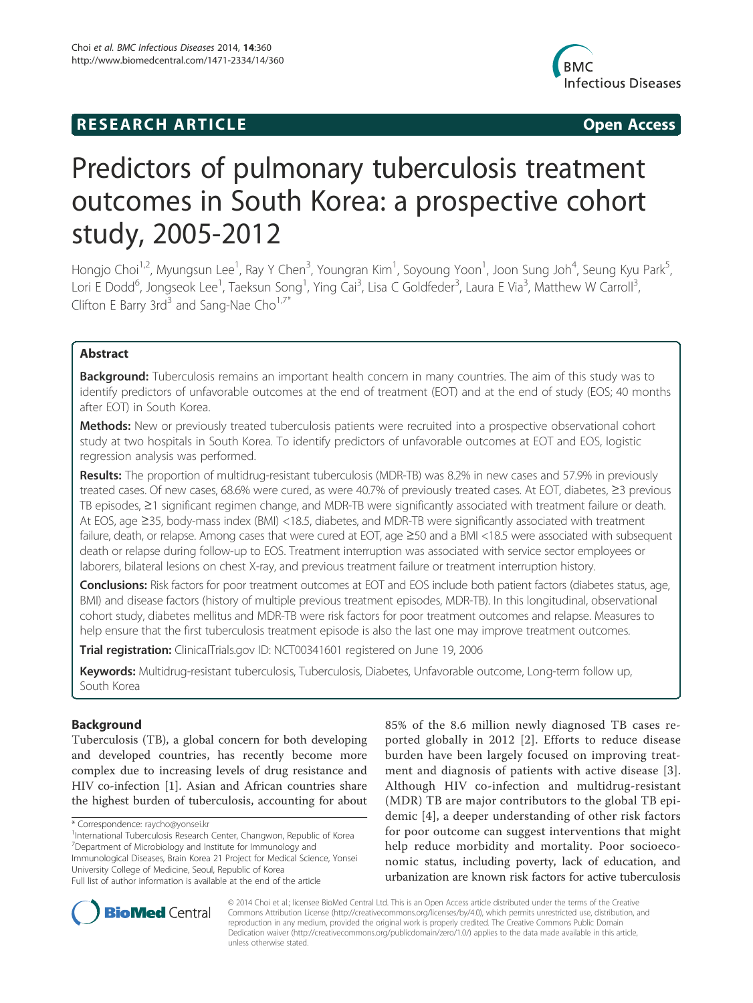# **RESEARCH ARTICLE Example 2018 12:00 Open Access**



# Predictors of pulmonary tuberculosis treatment outcomes in South Korea: a prospective cohort study, 2005-2012

Hongjo Choi<sup>1,2</sup>, Myungsun Lee<sup>1</sup>, Ray Y Chen<sup>3</sup>, Youngran Kim<sup>1</sup>, Soyoung Yoon<sup>1</sup>, Joon Sung Joh<sup>4</sup>, Seung Kyu Park<sup>5</sup> , Lori E Dodd<sup>6</sup>, Jongseok Lee<sup>1</sup>, Taeksun Song<sup>1</sup>, Ying Cai<sup>3</sup>, Lisa C Goldfeder<sup>3</sup>, Laura E Via<sup>3</sup>, Matthew W Carroll<sup>3</sup> , Clifton E Barry 3rd<sup>3</sup> and Sang-Nae Cho<sup>1,7\*</sup>

# Abstract

**Background:** Tuberculosis remains an important health concern in many countries. The aim of this study was to identify predictors of unfavorable outcomes at the end of treatment (EOT) and at the end of study (EOS; 40 months after EOT) in South Korea.

Methods: New or previously treated tuberculosis patients were recruited into a prospective observational cohort study at two hospitals in South Korea. To identify predictors of unfavorable outcomes at EOT and EOS, logistic regression analysis was performed.

Results: The proportion of multidrug-resistant tuberculosis (MDR-TB) was 8.2% in new cases and 57.9% in previously treated cases. Of new cases, 68.6% were cured, as were 40.7% of previously treated cases. At EOT, diabetes, ≥3 previous TB episodes, ≥1 significant regimen change, and MDR-TB were significantly associated with treatment failure or death. At EOS, age ≥35, body-mass index (BMI) <18.5, diabetes, and MDR-TB were significantly associated with treatment failure, death, or relapse. Among cases that were cured at EOT, age ≥50 and a BMI <18.5 were associated with subsequent death or relapse during follow-up to EOS. Treatment interruption was associated with service sector employees or laborers, bilateral lesions on chest X-ray, and previous treatment failure or treatment interruption history.

Conclusions: Risk factors for poor treatment outcomes at EOT and EOS include both patient factors (diabetes status, age, BMI) and disease factors (history of multiple previous treatment episodes, MDR-TB). In this longitudinal, observational cohort study, diabetes mellitus and MDR-TB were risk factors for poor treatment outcomes and relapse. Measures to help ensure that the first tuberculosis treatment episode is also the last one may improve treatment outcomes.

**Trial registration:** ClinicalTrials.gov ID: NCT00341601 registered on June 19, 2006

Keywords: Multidrug-resistant tuberculosis, Tuberculosis, Diabetes, Unfavorable outcome, Long-term follow up, South Korea

# Background

Tuberculosis (TB), a global concern for both developing and developed countries, has recently become more complex due to increasing levels of drug resistance and HIV co-infection [1]. Asian and African countries share the highest burden of tuberculosis, accounting for about

<sup>1</sup>International Tuberculosis Research Center, Changwon, Republic of Korea <sup>7</sup>Department of Microbiology and Institute for Immunology and Immunological Diseases, Brain Korea 21 Project for Medical Science, Yonsei University College of Medicine, Seoul, Republic of Korea

85% of the 8.6 million newly diagnosed TB cases reported globally in 2012 [2]. Efforts to reduce disease burden have been largely focused on improving treatment and diagnosis of patients with active disease [3]. Although HIV co-infection and multidrug-resistant (MDR) TB are major contributors to the global TB epidemic [4], a deeper understanding of other risk factors for poor outcome can suggest interventions that might help reduce morbidity and mortality. Poor socioeconomic status, including poverty, lack of education, and urbanization are known risk factors for active tuberculosis



© 2014 Choi et al.; licensee BioMed Central Ltd. This is an Open Access article distributed under the terms of the Creative Commons Attribution License (http://creativecommons.org/licenses/by/4.0), which permits unrestricted use, distribution, and reproduction in any medium, provided the original work is properly credited. The Creative Commons Public Domain Dedication waiver (http://creativecommons.org/publicdomain/zero/1.0/) applies to the data made available in this article, unless otherwise stated.

<sup>\*</sup> Correspondence: raycho@yonsei.kr <sup>1</sup>

Full list of author information is available at the end of the article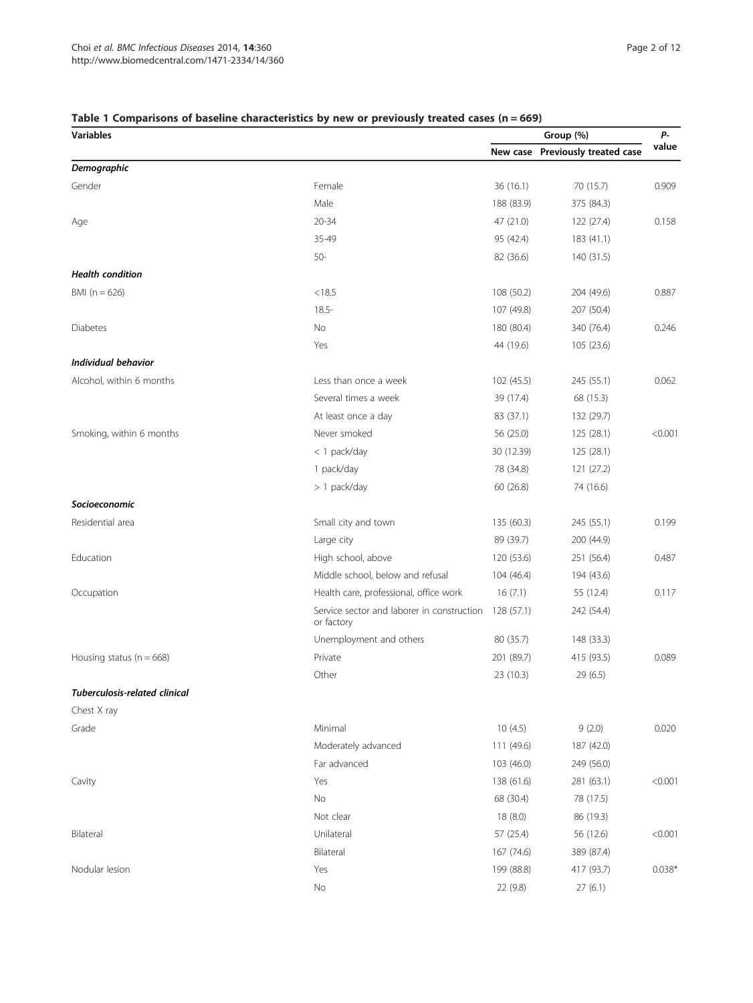# Table 1 Comparisons of baseline characteristics by new or previously treated cases ( $n = 669$ )

| <b>Variables</b>              |                                                          |            | Group (%)                        | Р-       |
|-------------------------------|----------------------------------------------------------|------------|----------------------------------|----------|
|                               |                                                          |            | New case Previously treated case | value    |
| <b>Demographic</b>            |                                                          |            |                                  |          |
| Gender                        | Female                                                   | 36(16.1)   | 70 (15.7)                        | 0.909    |
|                               | Male                                                     | 188 (83.9) | 375 (84.3)                       |          |
| Age                           | $20 - 34$                                                | 47 (21.0)  | 122 (27.4)                       | 0.158    |
|                               | 35-49                                                    | 95 (42.4)  | 183 (41.1)                       |          |
|                               | $50-$                                                    | 82 (36.6)  | 140 (31.5)                       |          |
| <b>Health condition</b>       |                                                          |            |                                  |          |
| BMI ( $n = 626$ )             | < 18.5                                                   | 108 (50.2) | 204 (49.6)                       | 0.887    |
|                               | $18.5 -$                                                 | 107 (49.8) | 207 (50.4)                       |          |
| Diabetes                      | No                                                       | 180 (80.4) | 340 (76.4)                       | 0.246    |
|                               | Yes                                                      | 44 (19.6)  | 105 (23.6)                       |          |
| Individual behavior           |                                                          |            |                                  |          |
| Alcohol, within 6 months      | Less than once a week                                    | 102 (45.5) | 245 (55.1)                       | 0.062    |
|                               | Several times a week                                     | 39 (17.4)  | 68 (15.3)                        |          |
|                               | At least once a day                                      | 83 (37.1)  | 132 (29.7)                       |          |
| Smoking, within 6 months      | Never smoked                                             | 56 (25.0)  | 125 (28.1)                       | < 0.001  |
|                               | < 1 pack/day                                             | 30 (12.39) | 125 (28.1)                       |          |
|                               | 1 pack/day                                               | 78 (34.8)  | 121 (27.2)                       |          |
|                               | > 1 pack/day                                             | 60 (26.8)  | 74 (16.6)                        |          |
| <b>Socioeconomic</b>          |                                                          |            |                                  |          |
| Residential area              | Small city and town                                      | 135(60.3)  | 245 (55.1)                       | 0.199    |
|                               | Large city                                               | 89 (39.7)  | 200 (44.9)                       |          |
| Education                     | High school, above                                       | 120 (53.6) | 251 (56.4)                       | 0.487    |
|                               | Middle school, below and refusal                         | 104 (46.4) | 194 (43.6)                       |          |
| Occupation                    | Health care, professional, office work                   | 16(7.1)    | 55 (12.4)                        | 0.117    |
|                               | Service sector and laborer in construction<br>or factory | 128(57.1)  | 242 (54.4)                       |          |
|                               | Unemployment and others                                  | 80 (35.7)  | 148 (33.3)                       |          |
| Housing status ( $n = 668$ )  | Private                                                  | 201 (89.7) | 415 (93.5)                       | 0.089    |
|                               | Other                                                    | 23 (10.3)  | 29(6.5)                          |          |
| Tuberculosis-related clinical |                                                          |            |                                  |          |
| Chest X ray                   |                                                          |            |                                  |          |
| Grade                         | Minimal                                                  | 10(4.5)    | 9(2.0)                           | 0.020    |
|                               | Moderately advanced                                      | 111 (49.6) | 187 (42.0)                       |          |
|                               | Far advanced                                             | 103 (46.0) | 249 (56.0)                       |          |
| Cavity                        | Yes                                                      | 138 (61.6) | 281 (63.1)                       | < 0.001  |
|                               | No                                                       | 68 (30.4)  | 78 (17.5)                        |          |
|                               | Not clear                                                | 18 (8.0)   | 86 (19.3)                        |          |
| Bilateral                     | Unilateral                                               | 57 (25.4)  | 56 (12.6)                        | < 0.001  |
|                               | Bilateral                                                | 167 (74.6) | 389 (87.4)                       |          |
| Nodular lesion                | Yes                                                      | 199 (88.8) | 417 (93.7)                       | $0.038*$ |
|                               | No                                                       | 22 (9.8)   | 27(6.1)                          |          |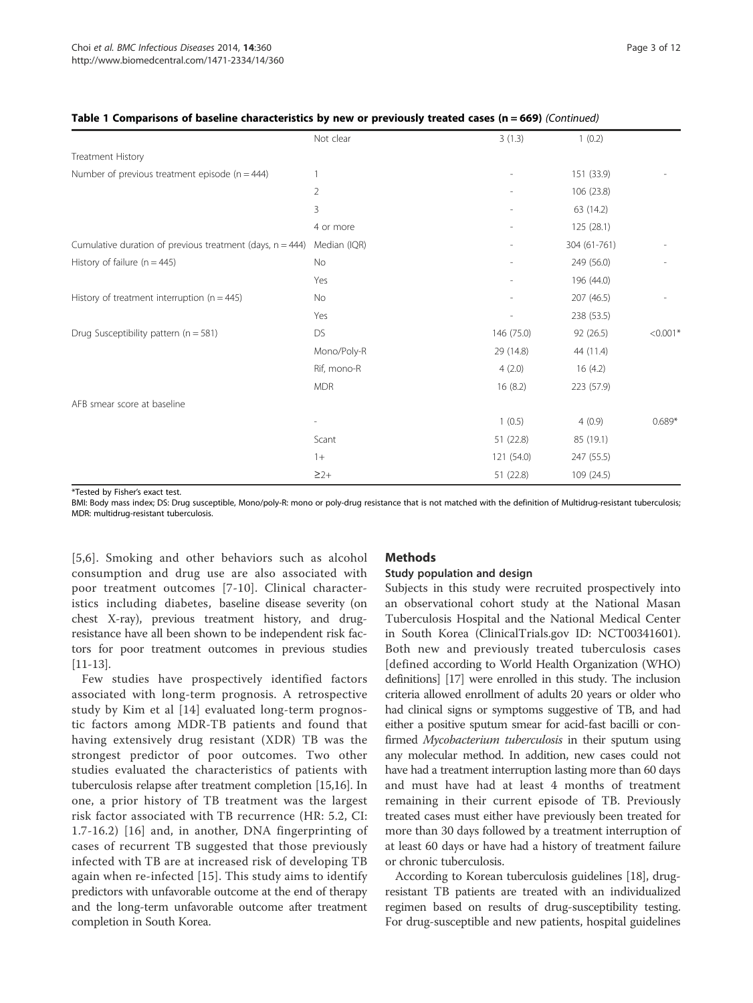|                                                              | Not clear    | 3(1.3)                       | 1(0.2)       |            |
|--------------------------------------------------------------|--------------|------------------------------|--------------|------------|
| Treatment History                                            |              |                              |              |            |
| Number of previous treatment episode ( $n = 444$ )           |              |                              | 151 (33.9)   |            |
|                                                              | 2            | $\overline{a}$               | 106 (23.8)   |            |
|                                                              | 3            | $\qquad \qquad \blacksquare$ | 63 (14.2)    |            |
|                                                              | 4 or more    |                              | 125 (28.1)   |            |
| Cumulative duration of previous treatment (days, $n = 444$ ) | Median (IQR) |                              | 304 (61-761) |            |
| History of failure ( $n = 445$ )                             | No           |                              | 249 (56.0)   |            |
|                                                              | Yes          |                              | 196 (44.0)   |            |
| History of treatment interruption ( $n = 445$ )              | No           |                              | 207 (46.5)   |            |
|                                                              | Yes          | $\qquad \qquad \blacksquare$ | 238 (53.5)   |            |
| Drug Susceptibility pattern ( $n = 581$ )                    | <b>DS</b>    | 146 (75.0)                   | 92(26.5)     | $< 0.001*$ |
|                                                              | Mono/Poly-R  | 29 (14.8)                    | 44 (11.4)    |            |
|                                                              | Rif, mono-R  | 4(2.0)                       | 16(4.2)      |            |
|                                                              | <b>MDR</b>   | 16(8.2)                      | 223 (57.9)   |            |
| AFB smear score at baseline                                  |              |                              |              |            |
|                                                              |              | 1(0.5)                       | 4(0.9)       | $0.689*$   |
|                                                              | Scant        | 51(22.8)                     | 85 (19.1)    |            |

## Table 1 Comparisons of baseline characteristics by new or previously treated cases (n = 669) (Continued)

\*Tested by Fisher's exact test.

BMI: Body mass index; DS: Drug susceptible, Mono/poly-R: mono or poly-drug resistance that is not matched with the definition of Multidrug-resistant tuberculosis; MDR: multidrug-resistant tuberculosis.

[5,6]. Smoking and other behaviors such as alcohol consumption and drug use are also associated with poor treatment outcomes [7-10]. Clinical characteristics including diabetes, baseline disease severity (on chest X-ray), previous treatment history, and drugresistance have all been shown to be independent risk factors for poor treatment outcomes in previous studies [11-13].

Few studies have prospectively identified factors associated with long-term prognosis. A retrospective study by Kim et al [14] evaluated long-term prognostic factors among MDR-TB patients and found that having extensively drug resistant (XDR) TB was the strongest predictor of poor outcomes. Two other studies evaluated the characteristics of patients with tuberculosis relapse after treatment completion [15,16]. In one, a prior history of TB treatment was the largest risk factor associated with TB recurrence (HR: 5.2, CI: 1.7-16.2) [16] and, in another, DNA fingerprinting of cases of recurrent TB suggested that those previously infected with TB are at increased risk of developing TB again when re-infected [15]. This study aims to identify predictors with unfavorable outcome at the end of therapy and the long-term unfavorable outcome after treatment completion in South Korea.

# Methods

# Study population and design

1+ 121 (54.0) 247 (55.5)  $\geq$ 2+ 51 (22.8) 109 (24.5)

> Subjects in this study were recruited prospectively into an observational cohort study at the National Masan Tuberculosis Hospital and the National Medical Center in South Korea (ClinicalTrials.gov ID: NCT00341601). Both new and previously treated tuberculosis cases [defined according to World Health Organization (WHO) definitions] [17] were enrolled in this study. The inclusion criteria allowed enrollment of adults 20 years or older who had clinical signs or symptoms suggestive of TB, and had either a positive sputum smear for acid-fast bacilli or confirmed Mycobacterium tuberculosis in their sputum using any molecular method. In addition, new cases could not have had a treatment interruption lasting more than 60 days and must have had at least 4 months of treatment remaining in their current episode of TB. Previously treated cases must either have previously been treated for more than 30 days followed by a treatment interruption of at least 60 days or have had a history of treatment failure or chronic tuberculosis.

> According to Korean tuberculosis guidelines [18], drugresistant TB patients are treated with an individualized regimen based on results of drug-susceptibility testing. For drug-susceptible and new patients, hospital guidelines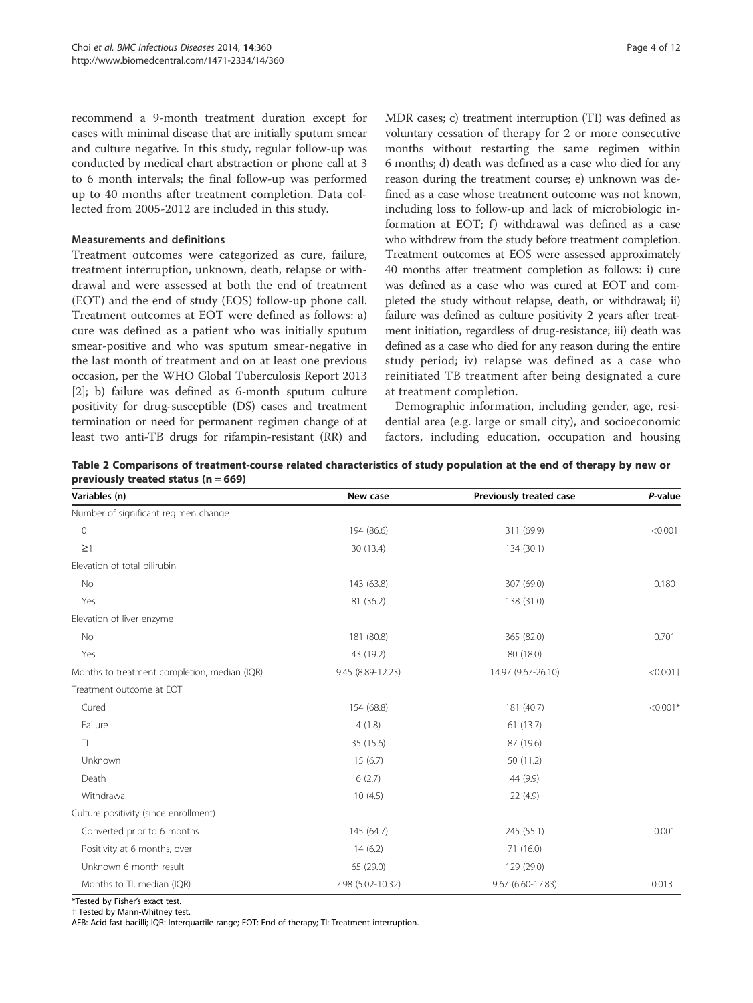recommend a 9-month treatment duration except for cases with minimal disease that are initially sputum smear and culture negative. In this study, regular follow-up was conducted by medical chart abstraction or phone call at 3 to 6 month intervals; the final follow-up was performed up to 40 months after treatment completion. Data collected from 2005-2012 are included in this study.

## Measurements and definitions

Treatment outcomes were categorized as cure, failure, treatment interruption, unknown, death, relapse or withdrawal and were assessed at both the end of treatment (EOT) and the end of study (EOS) follow-up phone call. Treatment outcomes at EOT were defined as follows: a) cure was defined as a patient who was initially sputum smear-positive and who was sputum smear-negative in the last month of treatment and on at least one previous occasion, per the WHO Global Tuberculosis Report 2013 [2]; b) failure was defined as 6-month sputum culture positivity for drug-susceptible (DS) cases and treatment termination or need for permanent regimen change of at least two anti-TB drugs for rifampin-resistant (RR) and MDR cases; c) treatment interruption (TI) was defined as voluntary cessation of therapy for 2 or more consecutive months without restarting the same regimen within 6 months; d) death was defined as a case who died for any reason during the treatment course; e) unknown was defined as a case whose treatment outcome was not known, including loss to follow-up and lack of microbiologic information at EOT;  $f$ ) withdrawal was defined as a case who withdrew from the study before treatment completion. Treatment outcomes at EOS were assessed approximately 40 months after treatment completion as follows: i) cure was defined as a case who was cured at EOT and completed the study without relapse, death, or withdrawal; ii) failure was defined as culture positivity 2 years after treatment initiation, regardless of drug-resistance; iii) death was defined as a case who died for any reason during the entire study period; iv) relapse was defined as a case who reinitiated TB treatment after being designated a cure at treatment completion.

Demographic information, including gender, age, residential area (e.g. large or small city), and socioeconomic factors, including education, occupation and housing

| Table 2 Comparisons of treatment-course related characteristics of study population at the end of therapy by new or |  |  |
|---------------------------------------------------------------------------------------------------------------------|--|--|
| previously treated status $(n = 669)$                                                                               |  |  |

| Variables (n)                                | New case          | Previously treated case | P-value     |
|----------------------------------------------|-------------------|-------------------------|-------------|
| Number of significant regimen change         |                   |                         |             |
| $\mathsf{O}\xspace$                          | 194 (86.6)        | 311 (69.9)              | < 0.001     |
| $\geq$ 1                                     | 30 (13.4)         | 134 (30.1)              |             |
| Elevation of total bilirubin                 |                   |                         |             |
| No                                           | 143 (63.8)        | 307 (69.0)              | 0.180       |
| Yes                                          | 81 (36.2)         | 138 (31.0)              |             |
| Elevation of liver enzyme                    |                   |                         |             |
| No                                           | 181 (80.8)        | 365 (82.0)              | 0.701       |
| Yes                                          | 43 (19.2)         | 80 (18.0)               |             |
| Months to treatment completion, median (IQR) | 9.45 (8.89-12.23) | 14.97 (9.67-26.10)      | $< 0.001 +$ |
| Treatment outcome at EOT                     |                   |                         |             |
| Cured                                        | 154 (68.8)        | 181 (40.7)              | $< 0.001*$  |
| Failure                                      | 4(1.8)            | 61(13.7)                |             |
| TI                                           | 35 (15.6)         | 87 (19.6)               |             |
| Unknown                                      | 15(6.7)           | 50 (11.2)               |             |
| Death                                        | 6(2.7)            | 44 (9.9)                |             |
| Withdrawal                                   | 10(4.5)           | 22 (4.9)                |             |
| Culture positivity (since enrollment)        |                   |                         |             |
| Converted prior to 6 months                  | 145 (64.7)        | 245 (55.1)              | 0.001       |
| Positivity at 6 months, over                 | 14(6.2)           | 71(16.0)                |             |
| Unknown 6 month result                       | 65 (29.0)         | 129 (29.0)              |             |
| Months to TI, median (IQR)                   | 7.98 (5.02-10.32) | 9.67 (6.60-17.83)       | $0.013+$    |

\*Tested by Fisher's exact test.

† Tested by Mann-Whitney test.

AFB: Acid fast bacilli; IQR: Interquartile range; EOT: End of therapy; TI: Treatment interruption.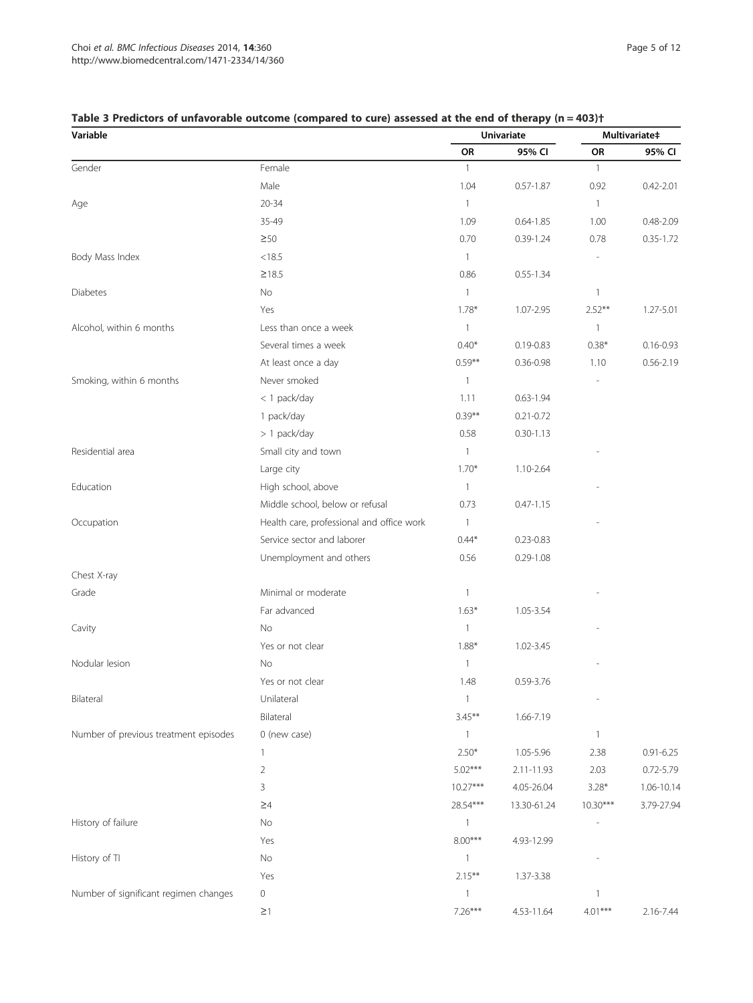| Variable                              |                                           |                          | Univariate    |                          | Multivariate‡ |
|---------------------------------------|-------------------------------------------|--------------------------|---------------|--------------------------|---------------|
|                                       |                                           | OR                       | 95% CI        | OR                       | 95% CI        |
| Gender                                | Female                                    | $\mathbf{1}$             |               | $\overline{1}$           |               |
|                                       | Male                                      | 1.04                     | $0.57 - 1.87$ | 0.92                     | $0.42 - 2.01$ |
| Age                                   | $20 - 34$                                 | $\mathbf{1}$             |               | $\overline{\phantom{a}}$ |               |
|                                       | 35-49                                     | 1.09                     | $0.64 - 1.85$ | 1.00                     | $0.48 - 2.09$ |
|                                       | $\geq 50$                                 | 0.70                     | $0.39 - 1.24$ | 0.78                     | $0.35 - 1.72$ |
| Body Mass Index                       | < 18.5                                    | $\mathbf{1}$             |               |                          |               |
|                                       | ≥18.5                                     | 0.86                     | $0.55 - 1.34$ |                          |               |
| Diabetes                              | No                                        | $\mathbf{1}$             |               | 1                        |               |
|                                       | Yes                                       | $1.78*$                  | 1.07-2.95     | $2.52***$                | 1.27-5.01     |
| Alcohol, within 6 months              | Less than once a week                     | $\mathbf{1}$             |               | 1                        |               |
|                                       | Several times a week                      | $0.40*$                  | $0.19 - 0.83$ | $0.38*$                  | $0.16 - 0.93$ |
|                                       | At least once a day                       | $0.59***$                | $0.36 - 0.98$ | 1.10                     | $0.56 - 2.19$ |
| Smoking, within 6 months              | Never smoked                              | $\mathbf{1}$             |               |                          |               |
|                                       | < 1 pack/day                              | 1.11                     | $0.63 - 1.94$ |                          |               |
|                                       | 1 pack/day                                | $0.39***$                | $0.21 - 0.72$ |                          |               |
|                                       | > 1 pack/day                              | 0.58                     | $0.30 - 1.13$ |                          |               |
| Residential area                      | Small city and town                       | $\mathbf{1}$             |               |                          |               |
|                                       | Large city                                | $1.70*$                  | 1.10-2.64     |                          |               |
| Education                             | High school, above                        | $\overline{\phantom{a}}$ |               |                          |               |
|                                       | Middle school, below or refusal           | 0.73                     | $0.47 - 1.15$ |                          |               |
| Occupation                            | Health care, professional and office work | $\mathbf{1}$             |               |                          |               |
|                                       | Service sector and laborer                | $0.44*$                  | $0.23 - 0.83$ |                          |               |
|                                       | Unemployment and others                   | 0.56                     | $0.29 - 1.08$ |                          |               |
| Chest X-ray                           |                                           |                          |               |                          |               |
| Grade                                 | Minimal or moderate                       | $\mathbf{1}$             |               |                          |               |
|                                       | Far advanced                              | $1.63*$                  | 1.05-3.54     |                          |               |
| Cavity                                | <b>No</b>                                 | $\mathbf{1}$             |               |                          |               |
|                                       | Yes or not clear                          | $1.88*$                  | 1.02-3.45     |                          |               |
| Nodular lesion                        | No                                        | $\mathbf{1}$             |               |                          |               |
|                                       | Yes or not clear                          | 1.48                     | 0.59-3.76     |                          |               |
| Bilateral                             | Unilateral                                | $\mathbf{1}$             |               |                          |               |
|                                       | Bilateral                                 | $3.45**$                 | 1.66-7.19     |                          |               |
| Number of previous treatment episodes | 0 (new case)                              | $\overline{1}$           |               | $\mathbf{1}$             |               |
|                                       | $\overline{1}$                            | $2.50*$                  | 1.05-5.96     | 2.38                     | $0.91 - 6.25$ |
|                                       | $\overline{2}$                            | $5.02***$                | 2.11-11.93    | 2.03                     | $0.72 - 5.79$ |
|                                       | 3                                         | $10.27***$               | 4.05-26.04    | $3.28*$                  | 1.06-10.14    |
|                                       | $\geq 4$                                  | 28.54***                 | 13.30-61.24   | $10.30***$               | 3.79-27.94    |
| History of failure                    | No                                        | 1                        |               |                          |               |
|                                       | Yes                                       | $8.00***$                | 4.93-12.99    |                          |               |
| History of TI                         | No                                        | 1                        |               |                          |               |
|                                       | Yes                                       | $2.15***$                | 1.37-3.38     |                          |               |
| Number of significant regimen changes | 0                                         | $\overline{\phantom{a}}$ |               | 1                        |               |
|                                       | $\geq$ 1                                  | $7.26***$                | 4.53-11.64    | $4.01***$                | 2.16-7.44     |

# Table 3 Predictors of unfavorable outcome (compared to cure) assessed at the end of therapy (n = 403)†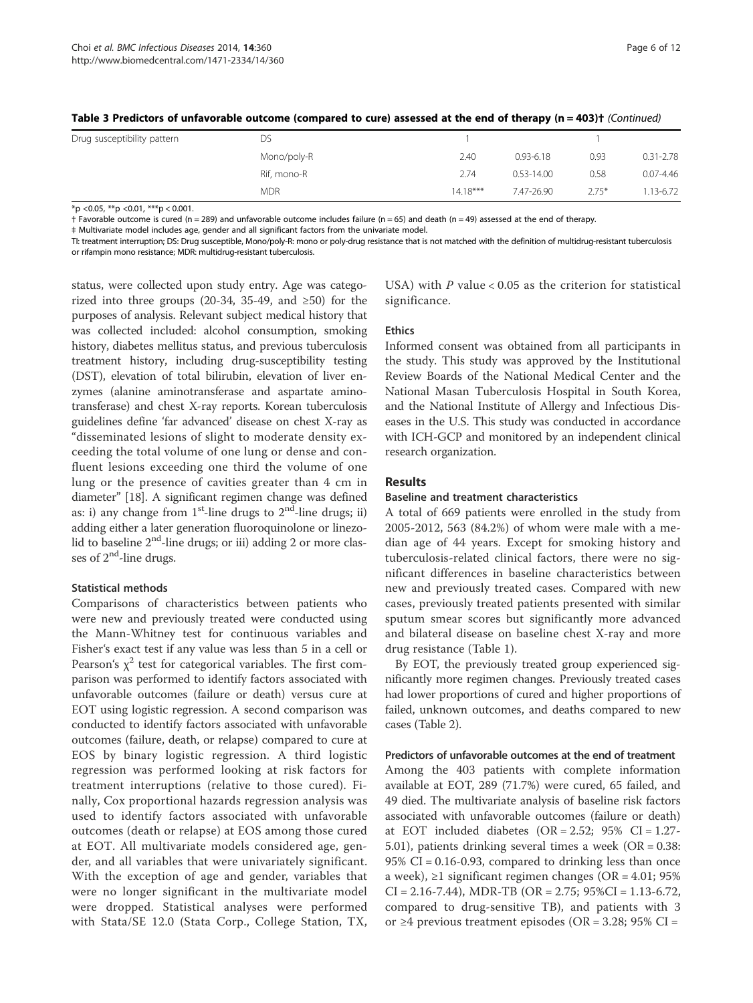| Drug susceptibility pattern | DS          |            |                |         |               |
|-----------------------------|-------------|------------|----------------|---------|---------------|
|                             | Mono/poly-R | 2.40       | $0.93 - 6.18$  | 0.93    | $0.31 - 2.78$ |
|                             | Rif, mono-R | 2.74       | $0.53 - 14.00$ | 0.58    | $0.07 - 4.46$ |
|                             | <b>MDR</b>  | $14.18***$ | 7.47-26.90     | $2.75*$ | $.13 - 6.72$  |

Table 3 Predictors of unfavorable outcome (compared to cure) assessed at the end of therapy (n = 403)† (Continued)

 $*$ p < 0.05,  $**$ p < 0.01,  $***$ p < 0.001.

 $\dagger$  Favorable outcome is cured (n = 289) and unfavorable outcome includes failure (n = 65) and death (n = 49) assessed at the end of therapy.

‡ Multivariate model includes age, gender and all significant factors from the univariate model.

TI: treatment interruption; DS: Drug susceptible, Mono/poly-R: mono or poly-drug resistance that is not matched with the definition of multidrug-resistant tuberculosis or rifampin mono resistance; MDR: multidrug-resistant tuberculosis.

status, were collected upon study entry. Age was categorized into three groups (20-34, 35-49, and  $\geq 50$ ) for the purposes of analysis. Relevant subject medical history that was collected included: alcohol consumption, smoking history, diabetes mellitus status, and previous tuberculosis treatment history, including drug-susceptibility testing (DST), elevation of total bilirubin, elevation of liver enzymes (alanine aminotransferase and aspartate aminotransferase) and chest X-ray reports. Korean tuberculosis guidelines define 'far advanced' disease on chest X-ray as "disseminated lesions of slight to moderate density exceeding the total volume of one lung or dense and confluent lesions exceeding one third the volume of one lung or the presence of cavities greater than 4 cm in diameter" [18]. A significant regimen change was defined as: i) any change from  $1^{st}$ -line drugs to  $2^{nd}$ -line drugs; ii) adding either a later generation fluoroquinolone or linezolid to baseline 2<sup>nd</sup>-line drugs; or iii) adding 2 or more classes of 2<sup>nd</sup>-line drugs.

# Statistical methods

Comparisons of characteristics between patients who were new and previously treated were conducted using the Mann-Whitney test for continuous variables and Fisher's exact test if any value was less than 5 in a cell or Pearson's  $\chi^2$  test for categorical variables. The first comparison was performed to identify factors associated with unfavorable outcomes (failure or death) versus cure at EOT using logistic regression. A second comparison was conducted to identify factors associated with unfavorable outcomes (failure, death, or relapse) compared to cure at EOS by binary logistic regression. A third logistic regression was performed looking at risk factors for treatment interruptions (relative to those cured). Finally, Cox proportional hazards regression analysis was used to identify factors associated with unfavorable outcomes (death or relapse) at EOS among those cured at EOT. All multivariate models considered age, gender, and all variables that were univariately significant. With the exception of age and gender, variables that were no longer significant in the multivariate model were dropped. Statistical analyses were performed with Stata/SE 12.0 (Stata Corp., College Station, TX, USA) with  $P$  value < 0.05 as the criterion for statistical significance.

## Ethics

Informed consent was obtained from all participants in the study. This study was approved by the Institutional Review Boards of the National Medical Center and the National Masan Tuberculosis Hospital in South Korea, and the National Institute of Allergy and Infectious Diseases in the U.S. This study was conducted in accordance with ICH-GCP and monitored by an independent clinical research organization.

## Results

## Baseline and treatment characteristics

A total of 669 patients were enrolled in the study from 2005-2012, 563 (84.2%) of whom were male with a median age of 44 years. Except for smoking history and tuberculosis-related clinical factors, there were no significant differences in baseline characteristics between new and previously treated cases. Compared with new cases, previously treated patients presented with similar sputum smear scores but significantly more advanced and bilateral disease on baseline chest X-ray and more drug resistance (Table 1).

By EOT, the previously treated group experienced significantly more regimen changes. Previously treated cases had lower proportions of cured and higher proportions of failed, unknown outcomes, and deaths compared to new cases (Table 2).

## Predictors of unfavorable outcomes at the end of treatment

Among the 403 patients with complete information available at EOT, 289 (71.7%) were cured, 65 failed, and 49 died. The multivariate analysis of baseline risk factors associated with unfavorable outcomes (failure or death) at EOT included diabetes  $(OR = 2.52; 95\% \text{ CI} = 1.27$ -5.01), patients drinking several times a week ( $OR = 0.38$ : 95% CI = 0.16-0.93, compared to drinking less than once a week), ≥1 significant regimen changes (OR =  $4.01$ ; 95%  $CI = 2.16 - 7.44$ , MDR-TB (OR = 2.75; 95%CI = 1.13-6.72, compared to drug-sensitive TB), and patients with 3 or ≥4 previous treatment episodes (OR = 3.28; 95% CI =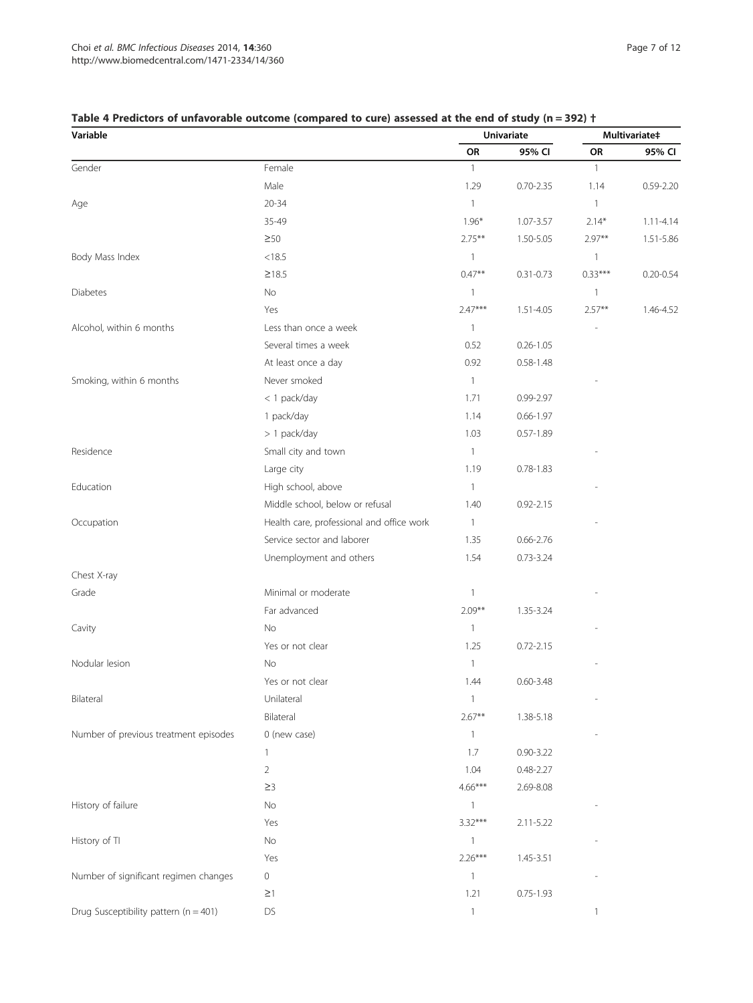| Variable                                  |                                           |                | Univariate    |                | Multivariate‡ |
|-------------------------------------------|-------------------------------------------|----------------|---------------|----------------|---------------|
|                                           |                                           | OR             | 95% CI        | OR             | 95% CI        |
| Gender                                    | Female                                    | $\mathbf{1}$   |               | $\mathbf{1}$   |               |
|                                           | Male                                      | 1.29           | $0.70 - 2.35$ | 1.14           | $0.59 - 2.20$ |
| Age                                       | $20 - 34$                                 | $\mathbf{1}$   |               | $\mathbf{1}$   |               |
|                                           | 35-49                                     | $1.96*$        | 1.07-3.57     | $2.14*$        | $1.11 - 4.14$ |
|                                           | $\geq 50$                                 | $2.75***$      | 1.50-5.05     | $2.97**$       | 1.51-5.86     |
| Body Mass Index                           | < 18.5                                    | $\overline{1}$ |               | $\overline{1}$ |               |
|                                           | ≥18.5                                     | $0.47**$       | $0.31 - 0.73$ | $0.33***$      | $0.20 - 0.54$ |
| Diabetes                                  | No                                        | $\mathbf{1}$   |               | $\mathbf{1}$   |               |
|                                           | Yes                                       | $2.47***$      | 1.51-4.05     | $2.57***$      | 1.46-4.52     |
| Alcohol, within 6 months                  | Less than once a week                     | 1              |               |                |               |
|                                           | Several times a week                      | 0.52           | $0.26 - 1.05$ |                |               |
|                                           | At least once a day                       | 0.92           | $0.58 - 1.48$ |                |               |
| Smoking, within 6 months                  | Never smoked                              | $\mathbf{1}$   |               |                |               |
|                                           | < 1 pack/day                              | 1.71           | 0.99-2.97     |                |               |
|                                           | 1 pack/day                                | 1.14           | $0.66 - 1.97$ |                |               |
|                                           | > 1 pack/day                              | 1.03           | $0.57 - 1.89$ |                |               |
| Residence                                 | Small city and town                       | $\mathbf{1}$   |               |                |               |
|                                           | Large city                                | 1.19           | $0.78 - 1.83$ |                |               |
| Education                                 | High school, above                        | $\mathbf{1}$   |               |                |               |
|                                           | Middle school, below or refusal           | 1.40           | $0.92 - 2.15$ |                |               |
| Occupation                                | Health care, professional and office work | 1              |               |                |               |
|                                           | Service sector and laborer                | 1.35           | $0.66 - 2.76$ |                |               |
|                                           | Unemployment and others                   | 1.54           | $0.73 - 3.24$ |                |               |
| Chest X-ray                               |                                           |                |               |                |               |
| Grade                                     | Minimal or moderate                       | $\mathbf{1}$   |               |                |               |
|                                           | Far advanced                              | $2.09***$      | 1.35-3.24     |                |               |
| Cavity                                    | <b>No</b>                                 | $\mathbf{1}$   |               |                |               |
|                                           | Yes or not clear                          | 1.25           | $0.72 - 2.15$ |                |               |
| Nodular lesion                            | No                                        | 1              |               |                |               |
|                                           | Yes or not clear                          | 1.44           | $0.60 - 3.48$ |                |               |
| Bilateral                                 | Unilateral                                | $\mathbf{1}$   |               |                |               |
|                                           | Bilateral                                 | $2.67***$      | 1.38-5.18     |                |               |
| Number of previous treatment episodes     | 0 (new case)                              | $\mathbf{1}$   |               |                |               |
|                                           | $\mathbf{1}$                              | 1.7            | $0.90 - 3.22$ |                |               |
|                                           | $\overline{2}$                            | 1.04           | $0.48 - 2.27$ |                |               |
|                                           | $\geq$ 3                                  | $4.66***$      | 2.69-8.08     |                |               |
| History of failure                        | No                                        | $\overline{1}$ |               |                |               |
|                                           | Yes                                       | $3.32***$      | $2.11 - 5.22$ |                |               |
| History of TI                             | No                                        | $\mathbf{1}$   |               |                |               |
|                                           | Yes                                       | $2.26***$      | 1.45-3.51     |                |               |
| Number of significant regimen changes     | 0                                         | $\mathbf{1}$   |               |                |               |
|                                           | $\geq$ 1                                  | 1.21           | $0.75 - 1.93$ |                |               |
|                                           |                                           |                |               |                |               |
| Drug Susceptibility pattern ( $n = 401$ ) | DS                                        | $\mathbf{1}$   |               | $\mathbf{1}$   |               |

# Table 4 Predictors of unfavorable outcome (compared to cure) assessed at the end of study (n = 392)  $\dagger$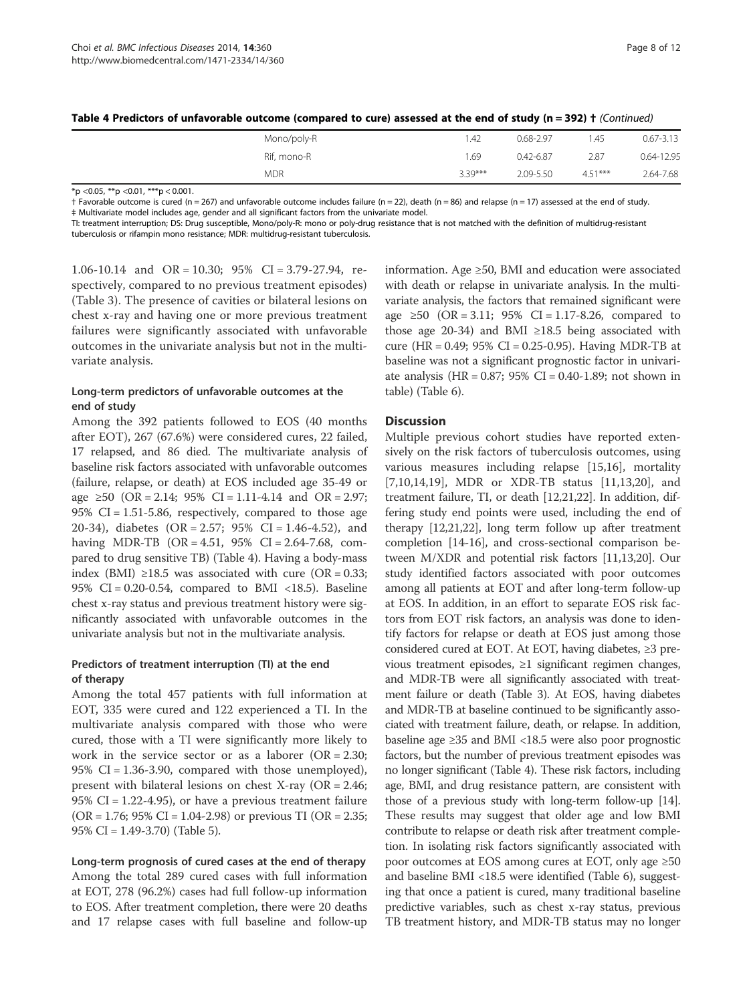| Mono/poly-R | .42       | $0.68 - 2.97$ | .45      | $0.67 - 3.13$ |
|-------------|-----------|---------------|----------|---------------|
| Rif, mono-R | .69       | $0.42 - 6.87$ | 2.87     | 0.64-12.95    |
| <b>MDR</b>  | $3.39***$ | 2.09-5.50     | $451***$ | 2.64-7.68     |

Table 4 Predictors of unfavorable outcome (compared to cure) assessed at the end of study (n = 392) † (Continued)

 $*_{p}$  < 0.05,  $*_{p}$  < 0.01,  $**_{p}$  < 0.001.

 $\dagger$  Favorable outcome is cured (n = 267) and unfavorable outcome includes failure (n = 22), death (n = 86) and relapse (n = 17) assessed at the end of study. ‡ Multivariate model includes age, gender and all significant factors from the univariate model.

TI: treatment interruption; DS: Drug susceptible, Mono/poly-R: mono or poly-drug resistance that is not matched with the definition of multidrug-resistant tuberculosis or rifampin mono resistance; MDR: multidrug-resistant tuberculosis.

1.06-10.14 and OR = 10.30; 95% CI = 3.79-27.94, respectively, compared to no previous treatment episodes) (Table 3). The presence of cavities or bilateral lesions on chest x-ray and having one or more previous treatment failures were significantly associated with unfavorable outcomes in the univariate analysis but not in the multivariate analysis.

# Long-term predictors of unfavorable outcomes at the end of study

Among the 392 patients followed to EOS (40 months after EOT), 267 (67.6%) were considered cures, 22 failed, 17 relapsed, and 86 died. The multivariate analysis of baseline risk factors associated with unfavorable outcomes (failure, relapse, or death) at EOS included age 35-49 or age ≥50 (OR = 2.14; 95% CI = 1.11-4.14 and OR = 2.97; 95% CI = 1.51-5.86, respectively, compared to those age 20-34), diabetes (OR = 2.57; 95% CI = 1.46-4.52), and having MDR-TB (OR = 4.51, 95% CI = 2.64-7.68, compared to drug sensitive TB) (Table 4). Having a body-mass index (BMI) ≥18.5 was associated with cure (OR =  $0.33$ ; 95% CI = 0.20-0.54, compared to BMI <18.5). Baseline chest x-ray status and previous treatment history were significantly associated with unfavorable outcomes in the univariate analysis but not in the multivariate analysis.

# Predictors of treatment interruption (TI) at the end of therapy

Among the total 457 patients with full information at EOT, 335 were cured and 122 experienced a TI. In the multivariate analysis compared with those who were cured, those with a TI were significantly more likely to work in the service sector or as a laborer ( $OR = 2.30$ ; 95% CI = 1.36-3.90, compared with those unemployed), present with bilateral lesions on chest X-ray ( $OR = 2.46$ ; 95% CI = 1.22-4.95), or have a previous treatment failure  $(OR = 1.76; 95\% CI = 1.04-2.98)$  or previous TI  $(OR = 2.35;$ 95% CI = 1.49-3.70) (Table 5).

Long-term prognosis of cured cases at the end of therapy Among the total 289 cured cases with full information at EOT, 278 (96.2%) cases had full follow-up information to EOS. After treatment completion, there were 20 deaths and 17 relapse cases with full baseline and follow-up information. Age ≥50, BMI and education were associated with death or relapse in univariate analysis. In the multivariate analysis, the factors that remained significant were age ≥50 (OR = 3.11; 95% CI = 1.17-8.26, compared to those age 20-34) and BMI  $\geq 18.5$  being associated with cure (HR = 0.49;  $95\%$  CI = 0.25-0.95). Having MDR-TB at baseline was not a significant prognostic factor in univariate analysis (HR =  $0.87$ ; 95% CI =  $0.40 - 1.89$ ; not shown in table) (Table 6).

# **Discussion**

Multiple previous cohort studies have reported extensively on the risk factors of tuberculosis outcomes, using various measures including relapse [15,16], mortality [7,10,14,19], MDR or XDR-TB status [11,13,20], and treatment failure, TI, or death [12,21,22]. In addition, differing study end points were used, including the end of therapy [12,21,22], long term follow up after treatment completion [14-16], and cross-sectional comparison between M/XDR and potential risk factors [11,13,20]. Our study identified factors associated with poor outcomes among all patients at EOT and after long-term follow-up at EOS. In addition, in an effort to separate EOS risk factors from EOT risk factors, an analysis was done to identify factors for relapse or death at EOS just among those considered cured at EOT. At EOT, having diabetes, ≥3 previous treatment episodes, ≥1 significant regimen changes, and MDR-TB were all significantly associated with treatment failure or death (Table 3). At EOS, having diabetes and MDR-TB at baseline continued to be significantly associated with treatment failure, death, or relapse. In addition, baseline age ≥35 and BMI <18.5 were also poor prognostic factors, but the number of previous treatment episodes was no longer significant (Table 4). These risk factors, including age, BMI, and drug resistance pattern, are consistent with those of a previous study with long-term follow-up [14]. These results may suggest that older age and low BMI contribute to relapse or death risk after treatment completion. In isolating risk factors significantly associated with poor outcomes at EOS among cures at EOT, only age ≥50 and baseline BMI <18.5 were identified (Table 6), suggesting that once a patient is cured, many traditional baseline predictive variables, such as chest x-ray status, previous TB treatment history, and MDR-TB status may no longer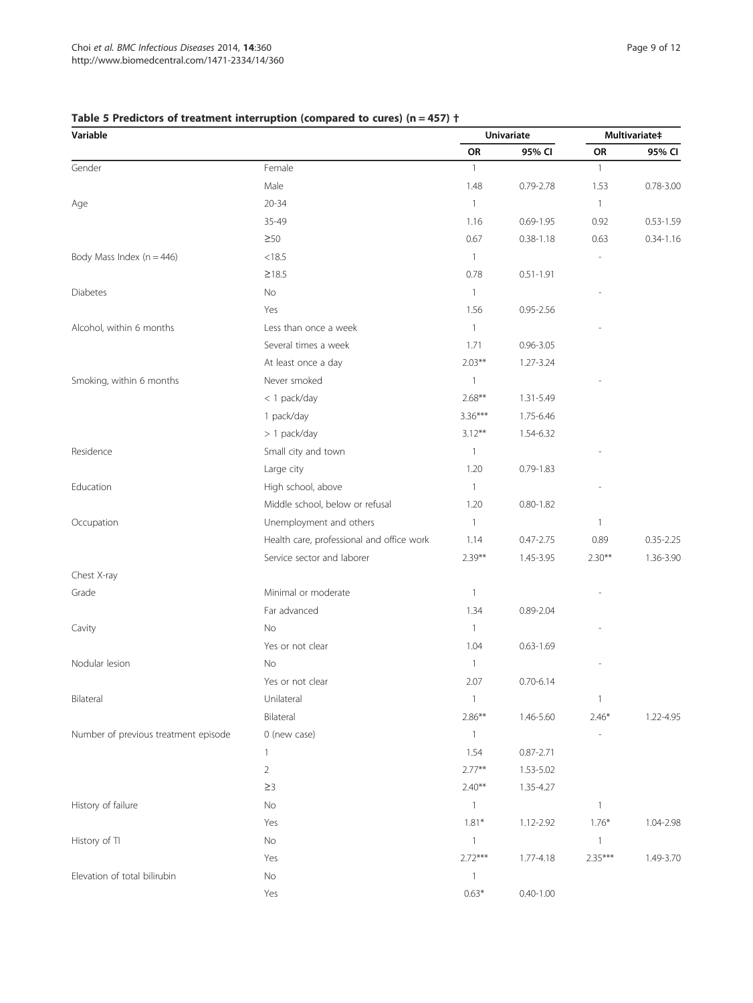# Table 5 Predictors of treatment interruption (compared to cures) (n = 457) †

| Variable                             |                                           | Univariate   |               |              | Multivariate‡ |
|--------------------------------------|-------------------------------------------|--------------|---------------|--------------|---------------|
|                                      |                                           | OR           | 95% CI        | OR           | 95% CI        |
| Gender                               | Female                                    | $\mathbf{1}$ |               | $\mathbf{1}$ |               |
|                                      | Male                                      | 1.48         | $0.79 - 2.78$ | 1.53         | $0.78 - 3.00$ |
| Age                                  | $20 - 34$                                 | $\mathbf{1}$ |               | $\mathbf{1}$ |               |
|                                      | 35-49                                     | 1.16         | $0.69 - 1.95$ | 0.92         | $0.53 - 1.59$ |
|                                      | $\geq 50$                                 | 0.67         | $0.38 - 1.18$ | 0.63         | $0.34 - 1.16$ |
| Body Mass Index ( $n = 446$ )        | < 18.5                                    | $\mathbf{1}$ |               |              |               |
|                                      | $\geq$ 18.5                               | 0.78         | $0.51 - 1.91$ |              |               |
| Diabetes                             | No                                        | $\mathbf{1}$ |               |              |               |
|                                      | Yes                                       | 1.56         | $0.95 - 2.56$ |              |               |
| Alcohol, within 6 months             | Less than once a week                     | $\mathbf{1}$ |               |              |               |
|                                      | Several times a week                      | 1.71         | $0.96 - 3.05$ |              |               |
|                                      | At least once a day                       | $2.03***$    | 1.27-3.24     |              |               |
| Smoking, within 6 months             | Never smoked                              | $\mathbf{1}$ |               |              |               |
|                                      | < 1 pack/day                              | $2.68***$    | 1.31-5.49     |              |               |
|                                      | 1 pack/day                                | $3.36***$    | 1.75-6.46     |              |               |
|                                      | > 1 pack/day                              | $3.12***$    | 1.54-6.32     |              |               |
| Residence                            | Small city and town                       | $\mathbf{1}$ |               |              |               |
|                                      | Large city                                | 1.20         | $0.79 - 1.83$ |              |               |
| Education                            | High school, above                        | $\mathbf{1}$ |               |              |               |
|                                      | Middle school, below or refusal           | 1.20         | $0.80 - 1.82$ |              |               |
| Occupation                           | Unemployment and others                   | $\mathbf{1}$ |               | $\mathbf{1}$ |               |
|                                      | Health care, professional and office work | 1.14         | $0.47 - 2.75$ | 0.89         | $0.35 - 2.25$ |
|                                      | Service sector and laborer                | $2.39***$    | 1.45-3.95     | $2.30**$     | 1.36-3.90     |
| Chest X-ray                          |                                           |              |               |              |               |
| Grade                                | Minimal or moderate                       | $\mathbf{1}$ |               |              |               |
|                                      | Far advanced                              | 1.34         | $0.89 - 2.04$ |              |               |
| Cavity                               | No                                        | $\mathbf{1}$ |               |              |               |
|                                      | Yes or not clear                          | 1.04         | $0.63 - 1.69$ |              |               |
| Nodular lesion                       | No                                        | $\mathbf{1}$ |               |              |               |
|                                      | Yes or not clear                          | 2.07         | $0.70 - 6.14$ |              |               |
| Bilateral                            | Unilateral                                | $\mathbf{1}$ |               | $\mathbf{1}$ |               |
|                                      | Bilateral                                 | $2.86***$    | 1.46-5.60     | $2.46*$      | 1.22-4.95     |
| Number of previous treatment episode | 0 (new case)                              | $\mathbf{1}$ |               |              |               |
|                                      | $\mathbf{1}$                              | 1.54         | $0.87 - 2.71$ |              |               |
|                                      | $\overline{2}$                            | $2.77***$    | 1.53-5.02     |              |               |
|                                      | $\geq$ 3                                  | $2.40**$     | 1.35-4.27     |              |               |
| History of failure                   | No                                        | $\mathbf{1}$ |               | $\mathbf{1}$ |               |
|                                      | Yes                                       | $1.81*$      | 1.12-2.92     | $1.76*$      | 1.04-2.98     |
| History of TI                        | No                                        | $\mathbf{1}$ |               | 1            |               |
|                                      | Yes                                       | $2.72***$    | 1.77-4.18     | $2.35***$    | 1.49-3.70     |
| Elevation of total bilirubin         | No                                        | $\mathbf{1}$ |               |              |               |
|                                      | Yes                                       | $0.63*$      | $0.40 - 1.00$ |              |               |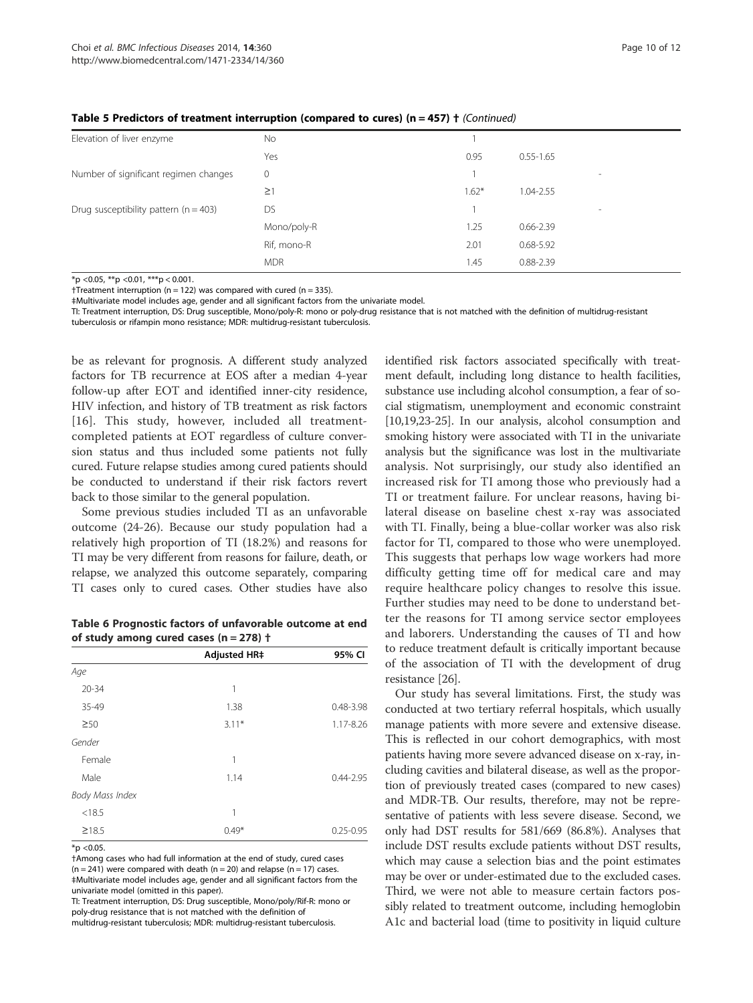| Elevation of liver enzyme               | No           |         |                          |
|-----------------------------------------|--------------|---------|--------------------------|
|                                         | Yes          | 0.95    | $0.55 - 1.65$            |
| Number of significant regimen changes   | $\mathbf{0}$ |         | $\overline{\phantom{a}}$ |
|                                         | $\geq$ 1     | $1.62*$ | 1.04-2.55                |
| Drug susceptibility pattern $(n = 403)$ | DS           |         | $\overline{\phantom{a}}$ |
|                                         | Mono/poly-R  | 1.25    | $0.66 - 2.39$            |
|                                         | Rif, mono-R  | 2.01    | $0.68 - 5.92$            |
|                                         | <b>MDR</b>   | 1.45    | 0.88-2.39                |

|  | Table 5 Predictors of treatment interruption (compared to cures) ( $n = 457$ ) † (Continued) |
|--|----------------------------------------------------------------------------------------------|
|--|----------------------------------------------------------------------------------------------|

 $\overline{p}$  < 0.05, \*\*p < 0.01, \*\*\*p < 0.001.

†Treatment interruption (n = 122) was compared with cured (n = 335).

‡Multivariate model includes age, gender and all significant factors from the univariate model.

TI: Treatment interruption, DS: Drug susceptible, Mono/poly-R: mono or poly-drug resistance that is not matched with the definition of multidrug-resistant

tuberculosis or rifampin mono resistance; MDR: multidrug-resistant tuberculosis.

be as relevant for prognosis. A different study analyzed factors for TB recurrence at EOS after a median 4-year follow-up after EOT and identified inner-city residence, HIV infection, and history of TB treatment as risk factors [16]. This study, however, included all treatmentcompleted patients at EOT regardless of culture conversion status and thus included some patients not fully cured. Future relapse studies among cured patients should be conducted to understand if their risk factors revert back to those similar to the general population.

Some previous studies included TI as an unfavorable outcome (24-26). Because our study population had a relatively high proportion of TI (18.2%) and reasons for TI may be very different from reasons for failure, death, or relapse, we analyzed this outcome separately, comparing TI cases only to cured cases. Other studies have also

|  |                                                  | Table 6 Prognostic factors of unfavorable outcome at end |  |  |
|--|--------------------------------------------------|----------------------------------------------------------|--|--|
|  | of study among cured cases $(n = 278)$ $\dagger$ |                                                          |  |  |

|                 | <b>Adjusted HR‡</b> | 95% CI        |
|-----------------|---------------------|---------------|
| Age             |                     |               |
| $20 - 34$       | 1                   |               |
| 35-49           | 1.38                | $0.48 - 3.98$ |
| $\geq 50$       | $3.11*$             | 1.17-8.26     |
| Gender          |                     |               |
| Female          | 1                   |               |
| Male            | 1.14                | $0.44 - 2.95$ |
| Body Mass Index |                     |               |
| < 18.5          | 1                   |               |
| $\geq$ 18.5     | $0.49*$             | $0.25 - 0.95$ |

 $*$ p < 0.05.

†Among cases who had full information at the end of study, cured cases  $(n = 241)$  were compared with death  $(n = 20)$  and relapse  $(n = 17)$  cases. ‡Multivariate model includes age, gender and all significant factors from the univariate model (omitted in this paper).

TI: Treatment interruption, DS: Drug susceptible, Mono/poly/Rif-R: mono or poly-drug resistance that is not matched with the definition of multidrug-resistant tuberculosis; MDR: multidrug-resistant tuberculosis.

identified risk factors associated specifically with treatment default, including long distance to health facilities, substance use including alcohol consumption, a fear of social stigmatism, unemployment and economic constraint [10,19,23-25]. In our analysis, alcohol consumption and smoking history were associated with TI in the univariate analysis but the significance was lost in the multivariate analysis. Not surprisingly, our study also identified an increased risk for TI among those who previously had a TI or treatment failure. For unclear reasons, having bilateral disease on baseline chest x-ray was associated with TI. Finally, being a blue-collar worker was also risk factor for TI, compared to those who were unemployed. This suggests that perhaps low wage workers had more difficulty getting time off for medical care and may require healthcare policy changes to resolve this issue. Further studies may need to be done to understand better the reasons for TI among service sector employees and laborers. Understanding the causes of TI and how to reduce treatment default is critically important because of the association of TI with the development of drug resistance [26].

Our study has several limitations. First, the study was conducted at two tertiary referral hospitals, which usually manage patients with more severe and extensive disease. This is reflected in our cohort demographics, with most patients having more severe advanced disease on x-ray, including cavities and bilateral disease, as well as the proportion of previously treated cases (compared to new cases) and MDR-TB. Our results, therefore, may not be representative of patients with less severe disease. Second, we only had DST results for 581/669 (86.8%). Analyses that include DST results exclude patients without DST results, which may cause a selection bias and the point estimates may be over or under-estimated due to the excluded cases. Third, we were not able to measure certain factors possibly related to treatment outcome, including hemoglobin A1c and bacterial load (time to positivity in liquid culture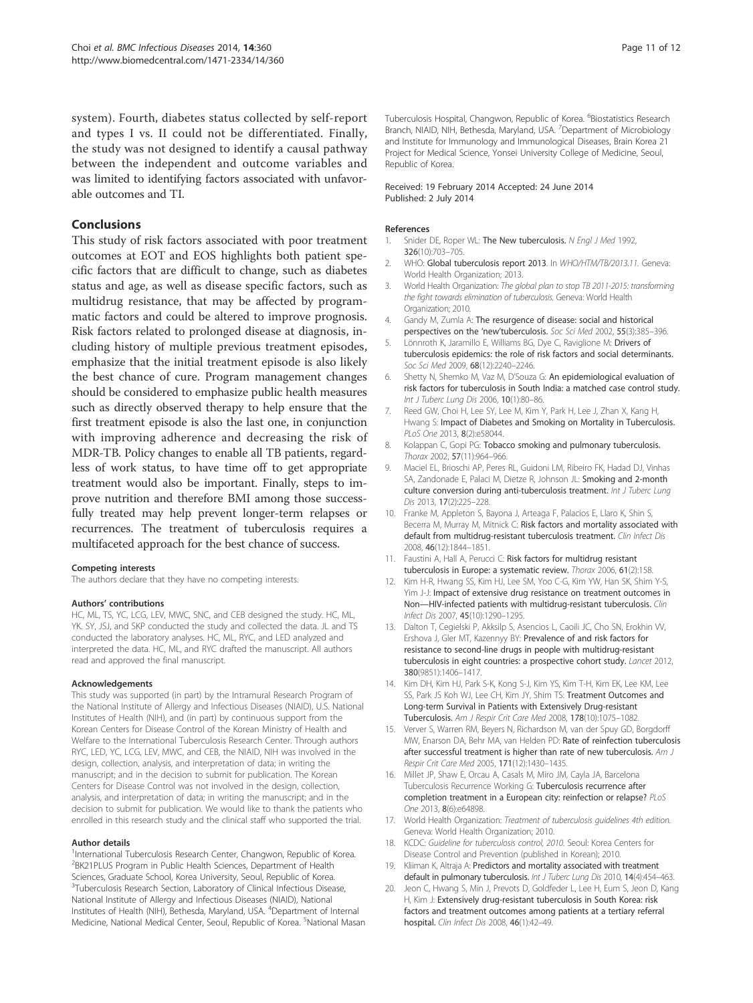system). Fourth, diabetes status collected by self-report and types I vs. II could not be differentiated. Finally, the study was not designed to identify a causal pathway between the independent and outcome variables and was limited to identifying factors associated with unfavorable outcomes and TI.

## Conclusions

This study of risk factors associated with poor treatment outcomes at EOT and EOS highlights both patient specific factors that are difficult to change, such as diabetes status and age, as well as disease specific factors, such as multidrug resistance, that may be affected by programmatic factors and could be altered to improve prognosis. Risk factors related to prolonged disease at diagnosis, including history of multiple previous treatment episodes, emphasize that the initial treatment episode is also likely the best chance of cure. Program management changes should be considered to emphasize public health measures such as directly observed therapy to help ensure that the first treatment episode is also the last one, in conjunction with improving adherence and decreasing the risk of MDR-TB. Policy changes to enable all TB patients, regardless of work status, to have time off to get appropriate treatment would also be important. Finally, steps to improve nutrition and therefore BMI among those successfully treated may help prevent longer-term relapses or recurrences. The treatment of tuberculosis requires a multifaceted approach for the best chance of success.

#### Competing interests

The authors declare that they have no competing interests.

#### Authors' contributions

HC, ML, TS, YC, LCG, LEV, MWC, SNC, and CEB designed the study. HC, ML, YK. SY, JSJ, and SKP conducted the study and collected the data. JL and TS conducted the laboratory analyses. HC, ML, RYC, and LED analyzed and interpreted the data. HC, ML, and RYC drafted the manuscript. All authors read and approved the final manuscript.

#### Acknowledgements

This study was supported (in part) by the Intramural Research Program of the National Institute of Allergy and Infectious Diseases (NIAID), U.S. National Institutes of Health (NIH), and (in part) by continuous support from the Korean Centers for Disease Control of the Korean Ministry of Health and Welfare to the International Tuberculosis Research Center. Through authors RYC, LED, YC, LCG, LEV, MWC, and CEB, the NIAID, NIH was involved in the design, collection, analysis, and interpretation of data; in writing the manuscript; and in the decision to submit for publication. The Korean Centers for Disease Control was not involved in the design, collection, analysis, and interpretation of data; in writing the manuscript; and in the decision to submit for publication. We would like to thank the patients who enrolled in this research study and the clinical staff who supported the trial.

#### Author details

<sup>1</sup>International Tuberculosis Research Center, Changwon, Republic of Korea. 2 BK21PLUS Program in Public Health Sciences, Department of Health Sciences, Graduate School, Korea University, Seoul, Republic of Korea. <sup>3</sup>Tuberculosis Research Section, Laboratory of Clinical Infectious Disease, National Institute of Allergy and Infectious Diseases (NIAID), National Institutes of Health (NIH), Bethesda, Maryland, USA. <sup>4</sup>Department of Internal Medicine, National Medical Center, Seoul, Republic of Korea. <sup>5</sup>National Masan

Tuberculosis Hospital, Changwon, Republic of Korea. <sup>6</sup>Biostatistics Research Branch, NIAID, NIH, Bethesda, Maryland, USA. <sup>7</sup>Department of Microbiology and Institute for Immunology and Immunological Diseases, Brain Korea 21 Project for Medical Science, Yonsei University College of Medicine, Seoul, Republic of Korea.

#### Received: 19 February 2014 Accepted: 24 June 2014 Published: 2 July 2014

#### References

- Snider DE, Roper WL: The New tuberculosis. N Engl J Med 1992, 326(10):703–705.
- 2. WHO: Global tuberculosis report 2013. In WHO/HTM/TB/2013.11. Geneva: World Health Organization; 2013.
- 3. World Health Organization: The global plan to stop TB 2011-2015: transforming the fight towards elimination of tuberculosis. Geneva: World Health Organization; 2010.
- 4. Gandy M, Zumla A: The resurgence of disease: social and historical perspectives on the 'new'tuberculosis. Soc Sci Med 2002, 55(3):385–396.
- 5. Lönnroth K, Jaramillo E, Williams BG, Dye C, Raviglione M: Drivers of tuberculosis epidemics: the role of risk factors and social determinants. Soc Sci Med 2009, 68(12):2240–2246.
- 6. Shetty N, Shemko M, Vaz M, D'Souza G: An epidemiological evaluation of risk factors for tuberculosis in South India: a matched case control study. Int J Tuberc Lung Dis 2006, 10(1):80–86.
- 7. Reed GW, Choi H, Lee SY, Lee M, Kim Y, Park H, Lee J, Zhan X, Kang H, Hwang S: Impact of Diabetes and Smoking on Mortality in Tuberculosis. PLoS One 2013, 8(2):e58044.
- 8. Kolappan C, Gopi PG: Tobacco smoking and pulmonary tuberculosis. Thorax 2002, 57(11):964–966.
- 9. Maciel EL, Brioschi AP, Peres RL, Guidoni LM, Ribeiro FK, Hadad DJ, Vinhas SA, Zandonade E, Palaci M, Dietze R, Johnson JL: Smoking and 2-month culture conversion during anti-tuberculosis treatment. Int J Tuberc Lung Dis 2013, 17(2):225–228.
- 10. Franke M, Appleton S, Bayona J, Arteaga F, Palacios E, Llaro K, Shin S, Becerra M, Murray M, Mitnick C: Risk factors and mortality associated with default from multidrug-resistant tuberculosis treatment. Clin Infect Dis 2008, 46(12):1844–1851.
- 11. Faustini A, Hall A, Perucci C: Risk factors for multidrug resistant tuberculosis in Europe: a systematic review. Thorax 2006, 61(2):158.
- 12. Kim H-R, Hwang SS, Kim HJ, Lee SM, Yoo C-G, Kim YW, Han SK, Shim Y-S, Yim J-J: Impact of extensive drug resistance on treatment outcomes in Non—HIV-infected patients with multidrug-resistant tuberculosis. Clin Infect Dis 2007, 45(10):1290–1295.
- 13. Dalton T, Cegielski P, Akksilp S, Asencios L, Caoili JC, Cho SN, Erokhin W, Ershova J, Gler MT, Kazennyy BY: Prevalence of and risk factors for resistance to second-line drugs in people with multidrug-resistant tuberculosis in eight countries: a prospective cohort study. Lancet 2012, 380(9851):1406–1417.
- 14. Kim DH, Kim HJ, Park S-K, Kong S-J, Kim YS, Kim T-H, Kim EK, Lee KM, Lee SS, Park JS Koh WJ, Lee CH, Kim JY, Shim TS: Treatment Outcomes and Long-term Survival in Patients with Extensively Drug-resistant Tuberculosis. Am J Respir Crit Care Med 2008, 178(10):1075–1082.
- 15. Verver S, Warren RM, Beyers N, Richardson M, van der Spuy GD, Borgdorff MW, Enarson DA, Behr MA, van Helden PD: Rate of reinfection tuberculosis after successful treatment is higher than rate of new tuberculosis. Am J Respir Crit Care Med 2005, 171(12):1430–1435.
- 16. Millet JP, Shaw E, Orcau A, Casals M, Miro JM, Cayla JA, Barcelona Tuberculosis Recurrence Working G: Tuberculosis recurrence after completion treatment in a European city: reinfection or relapse? PLoS One 2013, 8(6):e64898.
- 17. World Health Organization: Treatment of tuberculosis guidelines 4th edition. Geneva: World Health Organization; 2010.
- 18. KCDC: Guideline for tuberculosis control, 2010. Seoul: Korea Centers for Disease Control and Prevention (published in Korean); 2010.
- 19. Kliiman K, Altraja A: Predictors and mortality associated with treatment default in pulmonary tuberculosis. Int J Tuberc Lung Dis 2010, 14(4):454-463.
- 20. Jeon C, Hwang S, Min J, Prevots D, Goldfeder L, Lee H, Eum S, Jeon D, Kang H, Kim J: Extensively drug-resistant tuberculosis in South Korea: risk factors and treatment outcomes among patients at a tertiary referral hospital. Clin Infect Dis 2008, 46(1):42–49.